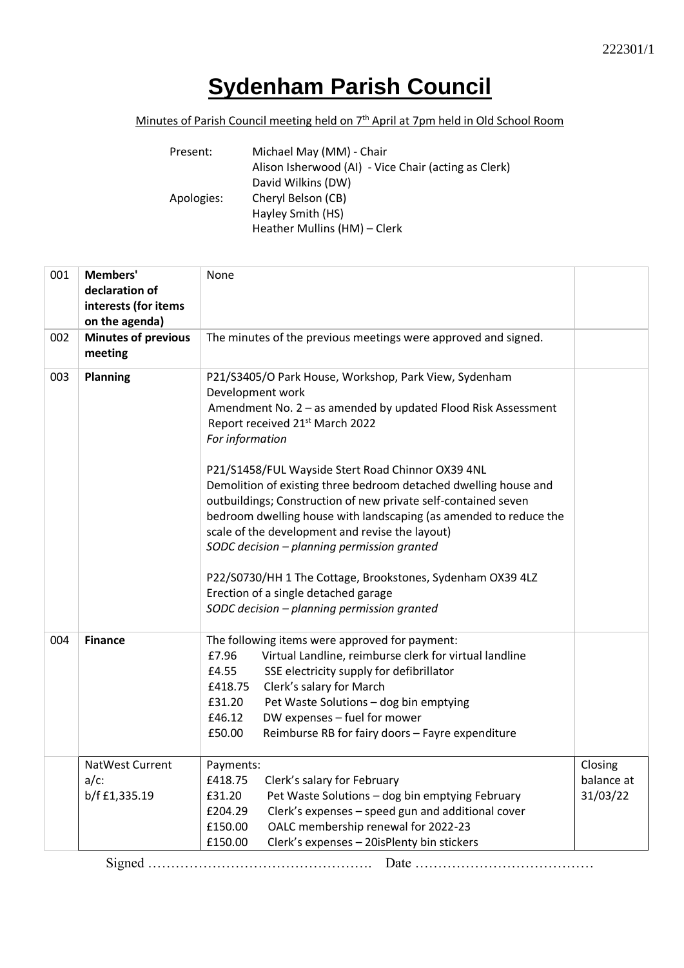## **Sydenham Parish Council**

Minutes of Parish Council meeting held on 7<sup>th</sup> April at 7pm held in Old School Room

| Present:   | Michael May (MM) - Chair                             |
|------------|------------------------------------------------------|
|            | Alison Isherwood (AI) - Vice Chair (acting as Clerk) |
|            | David Wilkins (DW)                                   |
| Apologies: | Cheryl Belson (CB)                                   |
|            | Hayley Smith (HS)                                    |
|            | Heather Mullins (HM) - Clerk                         |
|            |                                                      |

| 001 | Members'<br>declaration of                  | None                                                                                                                                                                                                                                                                                                                                                                                                                                                                                                                |                                   |
|-----|---------------------------------------------|---------------------------------------------------------------------------------------------------------------------------------------------------------------------------------------------------------------------------------------------------------------------------------------------------------------------------------------------------------------------------------------------------------------------------------------------------------------------------------------------------------------------|-----------------------------------|
|     | interests (for items                        |                                                                                                                                                                                                                                                                                                                                                                                                                                                                                                                     |                                   |
|     | on the agenda)                              |                                                                                                                                                                                                                                                                                                                                                                                                                                                                                                                     |                                   |
| 002 | <b>Minutes of previous</b><br>meeting       | The minutes of the previous meetings were approved and signed.                                                                                                                                                                                                                                                                                                                                                                                                                                                      |                                   |
| 003 | <b>Planning</b>                             | P21/S3405/O Park House, Workshop, Park View, Sydenham<br>Development work<br>Amendment No. 2 - as amended by updated Flood Risk Assessment<br>Report received 21st March 2022<br>For information                                                                                                                                                                                                                                                                                                                    |                                   |
|     |                                             | P21/S1458/FUL Wayside Stert Road Chinnor OX39 4NL<br>Demolition of existing three bedroom detached dwelling house and<br>outbuildings; Construction of new private self-contained seven<br>bedroom dwelling house with landscaping (as amended to reduce the<br>scale of the development and revise the layout)<br>SODC decision - planning permission granted<br>P22/S0730/HH 1 The Cottage, Brookstones, Sydenham OX39 4LZ<br>Erection of a single detached garage<br>SODC decision - planning permission granted |                                   |
| 004 | <b>Finance</b>                              | The following items were approved for payment:<br>Virtual Landline, reimburse clerk for virtual landline<br>£7.96<br>£4.55<br>SSE electricity supply for defibrillator<br>£418.75<br>Clerk's salary for March<br>£31.20<br>Pet Waste Solutions - dog bin emptying<br>£46.12<br>DW expenses - fuel for mower<br>Reimburse RB for fairy doors - Fayre expenditure<br>£50.00                                                                                                                                           |                                   |
|     | NatWest Current<br>$a/c$ :<br>b/f £1,335.19 | Payments:<br>£418.75<br>Clerk's salary for February<br>Pet Waste Solutions - dog bin emptying February<br>£31.20                                                                                                                                                                                                                                                                                                                                                                                                    | Closing<br>balance at<br>31/03/22 |
|     |                                             | £204.29<br>Clerk's expenses - speed gun and additional cover<br>£150.00<br>OALC membership renewal for 2022-23<br>£150.00<br>Clerk's expenses - 20isPlenty bin stickers                                                                                                                                                                                                                                                                                                                                             |                                   |

Signed …………………………………………. Date …………………………………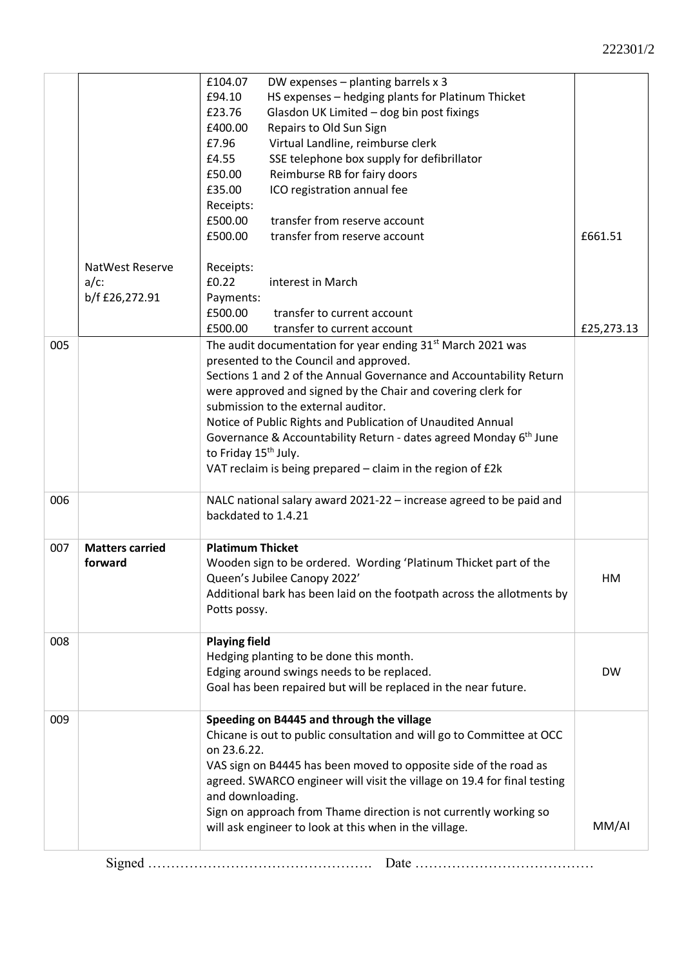|     | $a/c$ :<br>b/f £26,272.91 | £0.22<br>interest in March<br>Payments:                                                                           |            |
|-----|---------------------------|-------------------------------------------------------------------------------------------------------------------|------------|
|     |                           |                                                                                                                   |            |
|     |                           | £500.00<br>transfer to current account                                                                            |            |
|     |                           | £500.00<br>transfer to current account                                                                            | £25,273.13 |
| 005 |                           | The audit documentation for year ending 31 <sup>st</sup> March 2021 was                                           |            |
|     |                           | presented to the Council and approved.                                                                            |            |
|     |                           | Sections 1 and 2 of the Annual Governance and Accountability Return                                               |            |
|     |                           | were approved and signed by the Chair and covering clerk for                                                      |            |
|     |                           | submission to the external auditor.                                                                               |            |
|     |                           | Notice of Public Rights and Publication of Unaudited Annual                                                       |            |
|     |                           | Governance & Accountability Return - dates agreed Monday 6 <sup>th</sup> June<br>to Friday 15 <sup>th</sup> July. |            |
|     |                           | VAT reclaim is being prepared - claim in the region of £2k                                                        |            |
|     |                           |                                                                                                                   |            |
| 006 |                           | NALC national salary award 2021-22 - increase agreed to be paid and                                               |            |
|     |                           | backdated to 1.4.21                                                                                               |            |
|     |                           |                                                                                                                   |            |
| 007 | <b>Matters carried</b>    | <b>Platimum Thicket</b>                                                                                           |            |
|     | forward                   | Wooden sign to be ordered. Wording 'Platinum Thicket part of the                                                  |            |
|     |                           | Queen's Jubilee Canopy 2022'                                                                                      | HM         |
|     |                           | Additional bark has been laid on the footpath across the allotments by                                            |            |
|     |                           | Potts possy.                                                                                                      |            |
|     |                           | <b>Playing field</b>                                                                                              |            |
| 008 |                           | Hedging planting to be done this month.                                                                           |            |
|     |                           |                                                                                                                   | <b>DW</b>  |
|     |                           | Edging around swings needs to be replaced.                                                                        |            |
|     |                           | Goal has been repaired but will be replaced in the near future.                                                   |            |
|     |                           |                                                                                                                   |            |
| 009 |                           | Speeding on B4445 and through the village                                                                         |            |
|     |                           | Chicane is out to public consultation and will go to Committee at OCC                                             |            |
|     |                           | on 23.6.22.                                                                                                       |            |
|     |                           | VAS sign on B4445 has been moved to opposite side of the road as                                                  |            |
|     |                           | agreed. SWARCO engineer will visit the village on 19.4 for final testing                                          |            |
|     |                           | and downloading.<br>Sign on approach from Thame direction is not currently working so                             |            |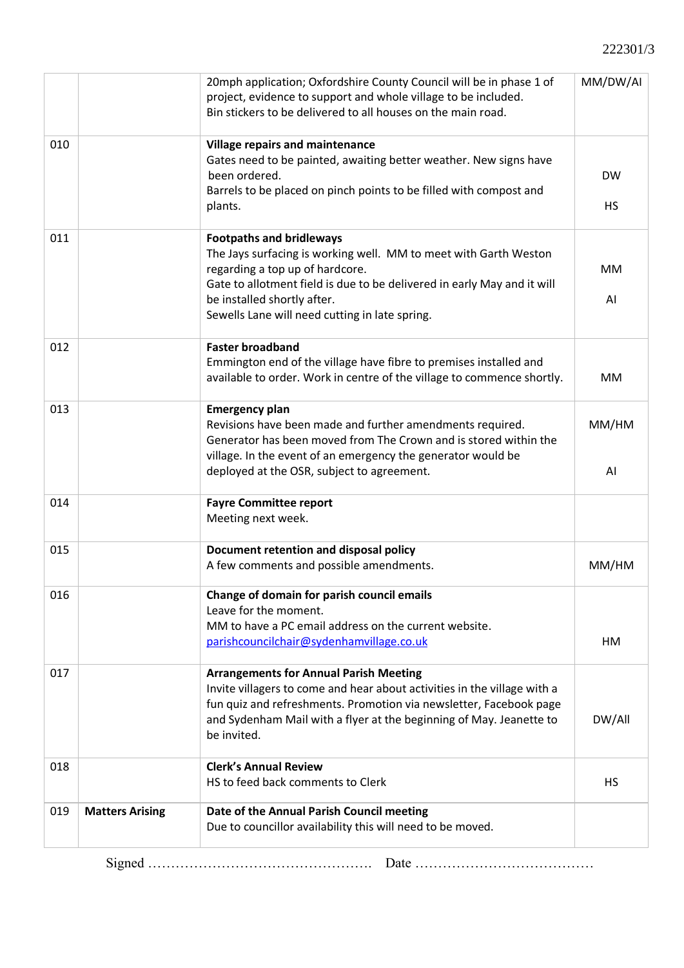## 222301/3

|     |                        | 20mph application; Oxfordshire County Council will be in phase 1 of<br>project, evidence to support and whole village to be included.<br>Bin stickers to be delivered to all houses on the main road.                                                                                              | MM/DW/AI         |
|-----|------------------------|----------------------------------------------------------------------------------------------------------------------------------------------------------------------------------------------------------------------------------------------------------------------------------------------------|------------------|
| 010 |                        | <b>Village repairs and maintenance</b><br>Gates need to be painted, awaiting better weather. New signs have<br>been ordered.<br>Barrels to be placed on pinch points to be filled with compost and<br>plants.                                                                                      | <b>DW</b><br>HS. |
| 011 |                        | <b>Footpaths and bridleways</b><br>The Jays surfacing is working well. MM to meet with Garth Weston<br>regarding a top up of hardcore.<br>Gate to allotment field is due to be delivered in early May and it will<br>be installed shortly after.<br>Sewells Lane will need cutting in late spring. | <b>MM</b><br>AI  |
| 012 |                        | <b>Faster broadband</b><br>Emmington end of the village have fibre to premises installed and<br>available to order. Work in centre of the village to commence shortly.                                                                                                                             | <b>MM</b>        |
| 013 |                        | <b>Emergency plan</b><br>Revisions have been made and further amendments required.<br>Generator has been moved from The Crown and is stored within the<br>village. In the event of an emergency the generator would be<br>deployed at the OSR, subject to agreement.                               | MM/HM<br>AI      |
| 014 |                        | <b>Fayre Committee report</b><br>Meeting next week.                                                                                                                                                                                                                                                |                  |
| 015 |                        | Document retention and disposal policy<br>A few comments and possible amendments.                                                                                                                                                                                                                  | MM/HM            |
| 016 |                        | Change of domain for parish council emails<br>Leave for the moment.<br>MM to have a PC email address on the current website.<br>parishcouncilchair@sydenhamvillage.co.uk                                                                                                                           | HM               |
| 017 |                        | <b>Arrangements for Annual Parish Meeting</b><br>Invite villagers to come and hear about activities in the village with a<br>fun quiz and refreshments. Promotion via newsletter, Facebook page<br>and Sydenham Mail with a flyer at the beginning of May. Jeanette to<br>be invited.              | DW/All           |
| 018 |                        | <b>Clerk's Annual Review</b><br>HS to feed back comments to Clerk                                                                                                                                                                                                                                  | <b>HS</b>        |
| 019 | <b>Matters Arising</b> | Date of the Annual Parish Council meeting<br>Due to councillor availability this will need to be moved.                                                                                                                                                                                            |                  |
|     |                        |                                                                                                                                                                                                                                                                                                    |                  |

Signed …………………………………………. Date …………………………………